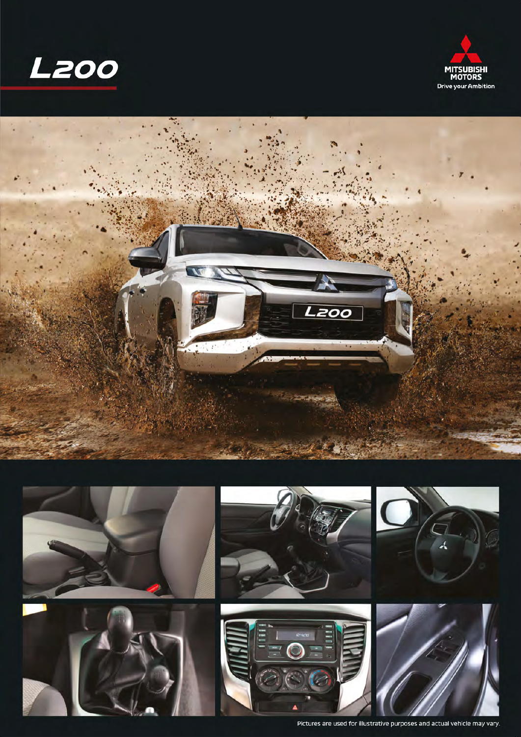







Pictures are used for illustrative purposes and actual vehicle may vary.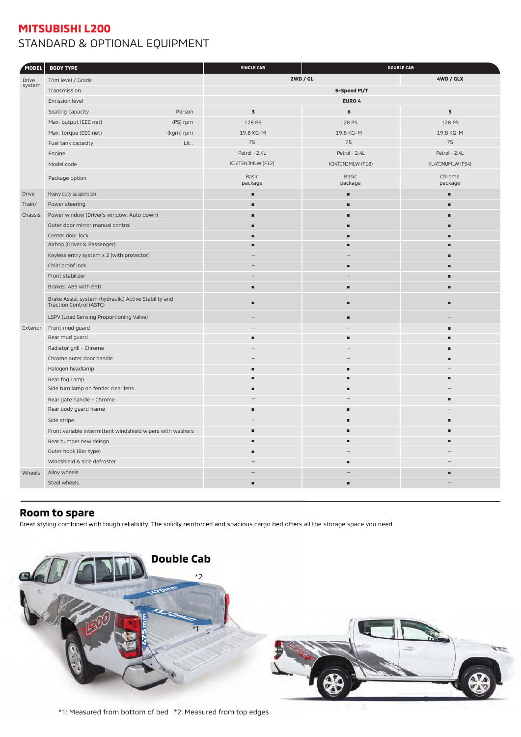## **MITSUBISHI L200** STANDARD & OPTIONAL EQUIPMENT

| <b>2WD / GL</b><br>4WD / GLX<br>Trim level / Grade<br>Drive<br>system<br>Transmission<br>5-Speed M/T<br>EURO 4<br>Emission level<br>Seating capacity<br>$\overline{\mathbf{3}}$<br>5<br>Person<br>6<br>Max. output (EEC net)<br>(PS) rpm<br>128 PS<br>128 PS<br>128 PS<br>Max. torque (EEC net)<br>(kgm) rpm<br>19.8 KG-M<br>19.8 KG-M<br>19.8 KG-M<br>75<br>75<br>75<br>Lit<br>Fuel tank capacity<br>Petrol - 2.4L<br>Petrol - 2.4L<br>Petrol - 2.4L<br>Engine<br>KJ4TENJMLW (F12)<br>KJ4TJNJMLW (F18)<br>KL4TJNUMLW (F54)<br>Model code<br>Basic<br>Basic<br>Chrome<br>Package option<br>package<br>package<br>package<br>Heavy duty suspension<br>Drive<br>٠<br>п<br>×.<br>Power steering<br>Train/<br>Ē<br>▪<br>п<br>Power window (Driver's window: Auto down)<br>Chassis<br>▬<br>Outer door mirror manual control<br>п<br>п<br>▬<br>Center door lock<br>Airbag (Driver & Passenger)<br>٠<br>▬<br>▬<br>Keyless entry system x 2 (with protector)<br>Child proof lock<br>Front stabilizer<br>Brakes: ABS with EBD<br>п<br>п<br>Brake Assist system (hydraulic) Active Stability and<br>п<br>п<br>п<br>Traction Control (ASTC)<br>LSPV (Load Sensing Proportioning Valve)<br>п<br>Front mud guard<br>Exterior<br>Rear mud guard<br>▬<br>п<br>Radiator grill - Chrome<br>Chrome outer door handle<br>Halogen headlamp<br>Rear fog Lamp<br>▬<br>п<br>п<br>Side turn lamp on fender clear lens<br>п<br>Rear gate handle - Chrome<br>Rear body guard frame<br>٠<br>Side stripe<br>п<br>п<br>Front variable intermittent windshield wipers with washers<br>٠<br>٠<br>Е<br>Rear bumper new deisgn<br>٠<br>Outer hook (Bar type)<br>Windshield & side defroster<br>п<br>Alloy wheels<br>Wheels<br>Steel wheels<br>٠ | MODEL | <b>BODY TYPE</b> |  | <b>SINGLE CAB</b><br><b>DOUBLE CAB</b> |  |  |
|----------------------------------------------------------------------------------------------------------------------------------------------------------------------------------------------------------------------------------------------------------------------------------------------------------------------------------------------------------------------------------------------------------------------------------------------------------------------------------------------------------------------------------------------------------------------------------------------------------------------------------------------------------------------------------------------------------------------------------------------------------------------------------------------------------------------------------------------------------------------------------------------------------------------------------------------------------------------------------------------------------------------------------------------------------------------------------------------------------------------------------------------------------------------------------------------------------------------------------------------------------------------------------------------------------------------------------------------------------------------------------------------------------------------------------------------------------------------------------------------------------------------------------------------------------------------------------------------------------------------------------------------------------------------------------------------------------------|-------|------------------|--|----------------------------------------|--|--|
|                                                                                                                                                                                                                                                                                                                                                                                                                                                                                                                                                                                                                                                                                                                                                                                                                                                                                                                                                                                                                                                                                                                                                                                                                                                                                                                                                                                                                                                                                                                                                                                                                                                                                                                |       |                  |  |                                        |  |  |
|                                                                                                                                                                                                                                                                                                                                                                                                                                                                                                                                                                                                                                                                                                                                                                                                                                                                                                                                                                                                                                                                                                                                                                                                                                                                                                                                                                                                                                                                                                                                                                                                                                                                                                                |       |                  |  |                                        |  |  |
|                                                                                                                                                                                                                                                                                                                                                                                                                                                                                                                                                                                                                                                                                                                                                                                                                                                                                                                                                                                                                                                                                                                                                                                                                                                                                                                                                                                                                                                                                                                                                                                                                                                                                                                |       |                  |  |                                        |  |  |
|                                                                                                                                                                                                                                                                                                                                                                                                                                                                                                                                                                                                                                                                                                                                                                                                                                                                                                                                                                                                                                                                                                                                                                                                                                                                                                                                                                                                                                                                                                                                                                                                                                                                                                                |       |                  |  |                                        |  |  |
|                                                                                                                                                                                                                                                                                                                                                                                                                                                                                                                                                                                                                                                                                                                                                                                                                                                                                                                                                                                                                                                                                                                                                                                                                                                                                                                                                                                                                                                                                                                                                                                                                                                                                                                |       |                  |  |                                        |  |  |
|                                                                                                                                                                                                                                                                                                                                                                                                                                                                                                                                                                                                                                                                                                                                                                                                                                                                                                                                                                                                                                                                                                                                                                                                                                                                                                                                                                                                                                                                                                                                                                                                                                                                                                                |       |                  |  |                                        |  |  |
|                                                                                                                                                                                                                                                                                                                                                                                                                                                                                                                                                                                                                                                                                                                                                                                                                                                                                                                                                                                                                                                                                                                                                                                                                                                                                                                                                                                                                                                                                                                                                                                                                                                                                                                |       |                  |  |                                        |  |  |
|                                                                                                                                                                                                                                                                                                                                                                                                                                                                                                                                                                                                                                                                                                                                                                                                                                                                                                                                                                                                                                                                                                                                                                                                                                                                                                                                                                                                                                                                                                                                                                                                                                                                                                                |       |                  |  |                                        |  |  |
|                                                                                                                                                                                                                                                                                                                                                                                                                                                                                                                                                                                                                                                                                                                                                                                                                                                                                                                                                                                                                                                                                                                                                                                                                                                                                                                                                                                                                                                                                                                                                                                                                                                                                                                |       |                  |  |                                        |  |  |
|                                                                                                                                                                                                                                                                                                                                                                                                                                                                                                                                                                                                                                                                                                                                                                                                                                                                                                                                                                                                                                                                                                                                                                                                                                                                                                                                                                                                                                                                                                                                                                                                                                                                                                                |       |                  |  |                                        |  |  |
|                                                                                                                                                                                                                                                                                                                                                                                                                                                                                                                                                                                                                                                                                                                                                                                                                                                                                                                                                                                                                                                                                                                                                                                                                                                                                                                                                                                                                                                                                                                                                                                                                                                                                                                |       |                  |  |                                        |  |  |
|                                                                                                                                                                                                                                                                                                                                                                                                                                                                                                                                                                                                                                                                                                                                                                                                                                                                                                                                                                                                                                                                                                                                                                                                                                                                                                                                                                                                                                                                                                                                                                                                                                                                                                                |       |                  |  |                                        |  |  |
|                                                                                                                                                                                                                                                                                                                                                                                                                                                                                                                                                                                                                                                                                                                                                                                                                                                                                                                                                                                                                                                                                                                                                                                                                                                                                                                                                                                                                                                                                                                                                                                                                                                                                                                |       |                  |  |                                        |  |  |
|                                                                                                                                                                                                                                                                                                                                                                                                                                                                                                                                                                                                                                                                                                                                                                                                                                                                                                                                                                                                                                                                                                                                                                                                                                                                                                                                                                                                                                                                                                                                                                                                                                                                                                                |       |                  |  |                                        |  |  |
|                                                                                                                                                                                                                                                                                                                                                                                                                                                                                                                                                                                                                                                                                                                                                                                                                                                                                                                                                                                                                                                                                                                                                                                                                                                                                                                                                                                                                                                                                                                                                                                                                                                                                                                |       |                  |  |                                        |  |  |
|                                                                                                                                                                                                                                                                                                                                                                                                                                                                                                                                                                                                                                                                                                                                                                                                                                                                                                                                                                                                                                                                                                                                                                                                                                                                                                                                                                                                                                                                                                                                                                                                                                                                                                                |       |                  |  |                                        |  |  |
|                                                                                                                                                                                                                                                                                                                                                                                                                                                                                                                                                                                                                                                                                                                                                                                                                                                                                                                                                                                                                                                                                                                                                                                                                                                                                                                                                                                                                                                                                                                                                                                                                                                                                                                |       |                  |  |                                        |  |  |
|                                                                                                                                                                                                                                                                                                                                                                                                                                                                                                                                                                                                                                                                                                                                                                                                                                                                                                                                                                                                                                                                                                                                                                                                                                                                                                                                                                                                                                                                                                                                                                                                                                                                                                                |       |                  |  |                                        |  |  |
|                                                                                                                                                                                                                                                                                                                                                                                                                                                                                                                                                                                                                                                                                                                                                                                                                                                                                                                                                                                                                                                                                                                                                                                                                                                                                                                                                                                                                                                                                                                                                                                                                                                                                                                |       |                  |  |                                        |  |  |
|                                                                                                                                                                                                                                                                                                                                                                                                                                                                                                                                                                                                                                                                                                                                                                                                                                                                                                                                                                                                                                                                                                                                                                                                                                                                                                                                                                                                                                                                                                                                                                                                                                                                                                                |       |                  |  |                                        |  |  |
|                                                                                                                                                                                                                                                                                                                                                                                                                                                                                                                                                                                                                                                                                                                                                                                                                                                                                                                                                                                                                                                                                                                                                                                                                                                                                                                                                                                                                                                                                                                                                                                                                                                                                                                |       |                  |  |                                        |  |  |
|                                                                                                                                                                                                                                                                                                                                                                                                                                                                                                                                                                                                                                                                                                                                                                                                                                                                                                                                                                                                                                                                                                                                                                                                                                                                                                                                                                                                                                                                                                                                                                                                                                                                                                                |       |                  |  |                                        |  |  |
|                                                                                                                                                                                                                                                                                                                                                                                                                                                                                                                                                                                                                                                                                                                                                                                                                                                                                                                                                                                                                                                                                                                                                                                                                                                                                                                                                                                                                                                                                                                                                                                                                                                                                                                |       |                  |  |                                        |  |  |
|                                                                                                                                                                                                                                                                                                                                                                                                                                                                                                                                                                                                                                                                                                                                                                                                                                                                                                                                                                                                                                                                                                                                                                                                                                                                                                                                                                                                                                                                                                                                                                                                                                                                                                                |       |                  |  |                                        |  |  |
|                                                                                                                                                                                                                                                                                                                                                                                                                                                                                                                                                                                                                                                                                                                                                                                                                                                                                                                                                                                                                                                                                                                                                                                                                                                                                                                                                                                                                                                                                                                                                                                                                                                                                                                |       |                  |  |                                        |  |  |
|                                                                                                                                                                                                                                                                                                                                                                                                                                                                                                                                                                                                                                                                                                                                                                                                                                                                                                                                                                                                                                                                                                                                                                                                                                                                                                                                                                                                                                                                                                                                                                                                                                                                                                                |       |                  |  |                                        |  |  |
|                                                                                                                                                                                                                                                                                                                                                                                                                                                                                                                                                                                                                                                                                                                                                                                                                                                                                                                                                                                                                                                                                                                                                                                                                                                                                                                                                                                                                                                                                                                                                                                                                                                                                                                |       |                  |  |                                        |  |  |
|                                                                                                                                                                                                                                                                                                                                                                                                                                                                                                                                                                                                                                                                                                                                                                                                                                                                                                                                                                                                                                                                                                                                                                                                                                                                                                                                                                                                                                                                                                                                                                                                                                                                                                                |       |                  |  |                                        |  |  |
|                                                                                                                                                                                                                                                                                                                                                                                                                                                                                                                                                                                                                                                                                                                                                                                                                                                                                                                                                                                                                                                                                                                                                                                                                                                                                                                                                                                                                                                                                                                                                                                                                                                                                                                |       |                  |  |                                        |  |  |
|                                                                                                                                                                                                                                                                                                                                                                                                                                                                                                                                                                                                                                                                                                                                                                                                                                                                                                                                                                                                                                                                                                                                                                                                                                                                                                                                                                                                                                                                                                                                                                                                                                                                                                                |       |                  |  |                                        |  |  |
|                                                                                                                                                                                                                                                                                                                                                                                                                                                                                                                                                                                                                                                                                                                                                                                                                                                                                                                                                                                                                                                                                                                                                                                                                                                                                                                                                                                                                                                                                                                                                                                                                                                                                                                |       |                  |  |                                        |  |  |
|                                                                                                                                                                                                                                                                                                                                                                                                                                                                                                                                                                                                                                                                                                                                                                                                                                                                                                                                                                                                                                                                                                                                                                                                                                                                                                                                                                                                                                                                                                                                                                                                                                                                                                                |       |                  |  |                                        |  |  |
|                                                                                                                                                                                                                                                                                                                                                                                                                                                                                                                                                                                                                                                                                                                                                                                                                                                                                                                                                                                                                                                                                                                                                                                                                                                                                                                                                                                                                                                                                                                                                                                                                                                                                                                |       |                  |  |                                        |  |  |
|                                                                                                                                                                                                                                                                                                                                                                                                                                                                                                                                                                                                                                                                                                                                                                                                                                                                                                                                                                                                                                                                                                                                                                                                                                                                                                                                                                                                                                                                                                                                                                                                                                                                                                                |       |                  |  |                                        |  |  |
|                                                                                                                                                                                                                                                                                                                                                                                                                                                                                                                                                                                                                                                                                                                                                                                                                                                                                                                                                                                                                                                                                                                                                                                                                                                                                                                                                                                                                                                                                                                                                                                                                                                                                                                |       |                  |  |                                        |  |  |
|                                                                                                                                                                                                                                                                                                                                                                                                                                                                                                                                                                                                                                                                                                                                                                                                                                                                                                                                                                                                                                                                                                                                                                                                                                                                                                                                                                                                                                                                                                                                                                                                                                                                                                                |       |                  |  |                                        |  |  |
|                                                                                                                                                                                                                                                                                                                                                                                                                                                                                                                                                                                                                                                                                                                                                                                                                                                                                                                                                                                                                                                                                                                                                                                                                                                                                                                                                                                                                                                                                                                                                                                                                                                                                                                |       |                  |  |                                        |  |  |
|                                                                                                                                                                                                                                                                                                                                                                                                                                                                                                                                                                                                                                                                                                                                                                                                                                                                                                                                                                                                                                                                                                                                                                                                                                                                                                                                                                                                                                                                                                                                                                                                                                                                                                                |       |                  |  |                                        |  |  |

## **Room to spare**

Great styling combined with tough reliability. The solidly reinforced and spacious cargo bed offers all the storage space you need.

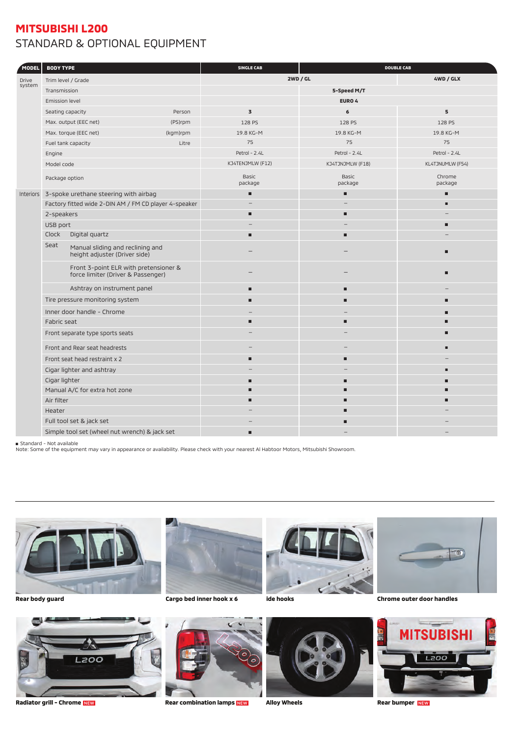## **MITSUBISHI L200** STANDARD & OPTIONAL EQUIPMENT

| <b>MODEL</b>           | <b>BODY TYPE</b>                                                            |          | <b>SINGLE CAB</b>       | <b>DOUBLE CAB</b>       |                   |
|------------------------|-----------------------------------------------------------------------------|----------|-------------------------|-------------------------|-------------------|
| <b>Drive</b><br>system | Trim level / Grade                                                          |          | <b>2WD / GL</b>         |                         | 4WD / GLX         |
|                        | Transmission                                                                |          |                         | 5-Speed M/T             |                   |
|                        | Emission level                                                              |          |                         | EURO 4                  |                   |
|                        | Seating capacity                                                            | Person   | $\mathbf 3$             | 6                       | 5                 |
|                        | Max. output (EEC net)                                                       | (PS)rpm  | 128 PS                  | 128 PS                  | 128 PS            |
|                        | Max. torque (EEC net)                                                       | (kgm)rpm | 19.8 KG-M               | 19.8 KG-M               | 19.8 KG-M         |
|                        | Fuel tank capacity                                                          | Litre    | 75                      | 75                      | 75                |
|                        | Engine                                                                      |          | Petrol - 2.4L           | Petrol - 2.4L           | Petrol - 2.4L     |
|                        | Model code                                                                  |          | KJ4TENJMLW (F12)        | KJ4TJNJMLW (F18)        | KL4TJNUMLW (F54)  |
|                        | Package option                                                              |          | <b>Basic</b><br>package | <b>Basic</b><br>package | Chrome<br>package |
| <b>Interiors</b>       | 3-spoke urethane steering with airbag                                       |          | п                       | п                       | г                 |
|                        | Factory fitted wide 2-DIN AM / FM CD player 4-speaker                       |          |                         |                         |                   |
|                        | 2-speakers                                                                  |          | п                       | п                       |                   |
|                        | USB port                                                                    |          |                         |                         | г                 |
|                        | Clock<br>Digital quartz                                                     |          | п                       | п                       |                   |
|                        | Seat<br>Manual sliding and reclining and<br>height adjuster (Driver side)   |          |                         |                         |                   |
|                        | Front 3-point ELR with pretensioner &<br>force limiter (Driver & Passenger) |          |                         |                         | г                 |
|                        | Ashtray on instrument panel                                                 |          | п                       | п                       |                   |
|                        | Tire pressure monitoring system                                             |          | п                       | ■                       | г                 |
|                        | Inner door handle - Chrome                                                  |          |                         |                         |                   |
|                        | Fabric seat                                                                 |          | п                       | п                       | г                 |
|                        | Front separate type sports seats                                            |          |                         |                         |                   |
|                        | Front and Rear seat headrests                                               |          |                         |                         |                   |
|                        | Front seat head restraint x 2                                               |          | п                       | ■                       |                   |
|                        | Cigar lighter and ashtray                                                   |          |                         |                         |                   |
|                        | Cigar lighter                                                               |          | п                       | п                       |                   |
|                        | Manual A/C for extra hot zone                                               |          |                         |                         |                   |
|                        | Air filter                                                                  |          |                         | ▬                       |                   |
|                        | Heater                                                                      |          |                         |                         |                   |
|                        | Full tool set & jack set                                                    |          |                         |                         |                   |
|                        | Simple tool set (wheel nut wrench) & jack set                               |          |                         |                         |                   |

■ Standard - Not available<br>Note: Some of the equipment may vary in appearance or availability. Please check with your nearest Al Habtoor Motors, Mitsubishi Showroom.





**Rear body guard Cargo bed inner hook x 6 Side hooks** 





**Chrome outer door handles**





**Radiator grill - Chrome** NEW **Rear combination lamps** NEW **Alloy Wheels Rear bumper** NEW